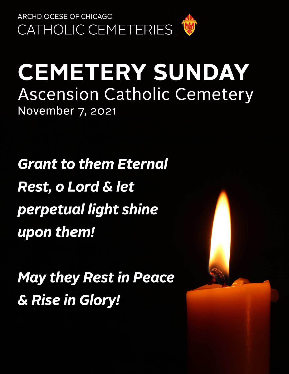

# **CEMETERY SUNDAY Ascension Catholic Cemetery** November 7, 2021

**Grant to them Eternal Rest, o Lord & let** perpetual light shine upon them!

**May they Rest in Peace** & Rise in Glory!

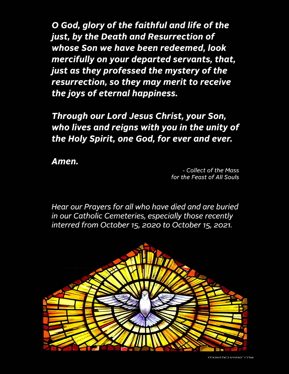O God, glory of the faithful and life of the just, by the Death and Resurrection of whose Son we have been redeemed, look mercifully on your departed servants, that, just as they professed the mystery of the resurrection, so they may merit to receive the joys of eternal happiness.

Through our Lord Jesus Christ, your Son, who lives and reigns with you in the unity of the Holy Spirit, one God, for ever and ever.

Amen.

- Collect of the Mass for the Feast of All Souls

Hear our Prayers for all who have died and are buried in our Catholic Cemeteries, especially those recently interred from October 15, 2020 to October 15, 2021.

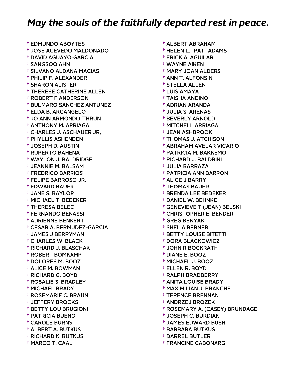† EDMUNDO ABOYTES † JOSE ACEVEDO MALDONADO † DAVID AGUAYO-GARCIA † SANGSOO AHN † SILVANO ALDANA MACIAS † PHILIP F. ALEXANDER † SHARON ALISTER † THERESE CATHERINE ALLEN † ROBERT F ANDERSON † BULMARO SANCHEZ ANTUNEZ † ELDA B. ARCANGELO † JO ANN ARMONDO-THRUN † ANTHONY M. ARRIAGA † CHARLES J. ASCHAUER JR, † PHYLLIS ASHENDEN † JOSEPH D. AUSTIN † RUPERTO BAHENA † WAYLON J. BALDRIDGE † JEANNIE M. BALSAM † FREDRICO BARRIOS † FELIPE BARROSO JR. † EDWARD BAUER † JANE S. BAYLOR † MICHAEL T. BEDEKER † THERESA BELEC † FERNANDO BENASSI † ADRIENNE BENKERT † CESAR A. BERMUDEZ-GARCIA † JAMES J BERRYMAN † CHARLES W. BLACK † RICHARD J. BLASCHAK † ROBERT BOMKAMP † DOLORES M. BOOZ † ALICE M. BOWMAN † RICHARD G. BOYD † ROSALIE S. BRADLEY † MICHAEL BRADY † ROSEMARIE C. BRAUN † JEFFERY BROOKS † BETTY LOU BRUGIONI † PATRICIA BUENO † CAROLE BURNS † ALBERT A. BUTKUS † RICHARD K. BUTKUS † MARCO T. CAAL

 † ALBERT ABRAHAM † HELEN L. "PAT" ADAMS † ERICK A. AGUILAR † WAYNE AIKEN † MARY JOAN ALDERS † ANN T. ALFONSIN † STELLA ALLEN † LUIS AMAYA † TAISHA ANDINO † ADRIAN ARANDA † JULIA S. ARENAS † BEVERLY ARNOLD † MITCHELL ARRIAGA † JEAN ASHBROOK † THOMAS J. ATCHISON † ABRAHAM AVELAR VICARIO † PATRICIA M. BAKKEMO † RICHARD J. BALDRINI † JULIA BARRAZA † PATRICIA ANN BARRON † ALICE J BARRY † THOMAS BAUER † BRENDA LEE BEDEKER † DANIEL W. BEHNKE † GENEVIEVE T (JEAN) BELSKI † CHRISTOPHER E. BENDER † GREG BENYAK † SHEILA BERNER † BETTY LOUISE BITETTI † DORA BLACKOWICZ † JOHN R BOCKRATH † DIANE E. BOOZ † MICHAEL J. BOOZ † ELLEN R. BOYD † RALPH BRADBERRY † ANITA LOUISE BRADY † MAXIMILIAN J. BRANCHE † TERENCE BRENNAN † ANDRZEJ BROZEK † ROSEMARY A. (CASEY) BRUNDAGE † JOSEPH C. BURDIAK † JAMES EDWARD BUSH † BARBARA BUTKUS

- † DARREL BUTLER
- † FRANCINE CABONARGI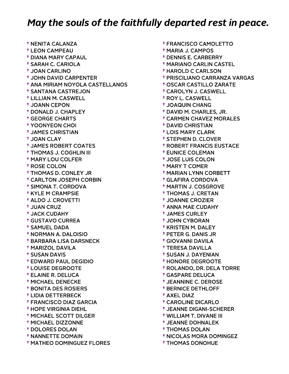† NENITA CALANZA † LEON CAMPEAU † DIANA MARY CAPAUL † SARAH C. CARIOLA † JOAN CARLINO † JOHN DAVID CARPENTER † ANA MIRIAM NOYOLA CASTELLANOS † SANTANA CASTREJON † LILLIAN M. CASWELL † JOANN CEPON † DONALD J. CHAPLEY † GEORGE CHARTS † YOONYEON CHOI † JAMES CHRISTIAN † JOAN CLAY † JAMES ROBERT COATES † THOMAS J. COGHLIN III † MARY LOU COLFER † ROSE COLON † THOMAS D. CONLEY JR † CARLTON JOSEPH CORBIN † SIMONA T. CORDOVA † KYLE M CRAMPSIE † ALDO J. CROVETTI † JUAN CRUZ † JACK CUDAHY † GUSTAVO CURREA † SAMUEL DADA † NORMAN A. DALOISIO † BARBARA LISA DARSNECK † MARIZOL DAVILA † SUSAN DAVIS † EDWARD PAUL DEGIDIO † LOUISE DEGROOTE † ELAINE R. DELUCA † MICHAEL DENECKE † BONITA DES ROSIERS † LIDIA DETTERBECK † FRANCISCO DIAZ GARCIA † HOPE VIRGINIA DIEHL † MICHAEL SCOTT DILGER † MICHAEL DIZZONNE † DOLORES DOLAN † NANNETTE DOMAIN † MATHEO DOMINGUEZ FLORES

 † FRANCISCO CAMOLETTO † MARIA J. CAMPOS † DENNIS E. CARBERRY † MARIANO CARLIN CASTEL † HAROLD C CARLSON † PRISCILIANO CARRANZA VARGAS † OSCAR CASTILLO ZARATE † CAROLYN J. CASWELL † ROY L. CASWELL † JOAQUIN CHANG † DAVID M. CHARLES, JR. † CARMEN CHAVEZ MORALES † DAVID CHRISTIAN † LOIS MARY CLARK † STEPHEN D. CLOVER † ROBERT FRANCIS EUSTACE † EUNICE COLEMAN † JOSE LUIS COLON † MARY T COMER † MARIAN LYNN CORBETT † GLAFIRA CORDOVA † MARTIN J. COSGROVE † THOMAS J. CRETAN † JOANNE CROZIER † ANNA MAE CUDAHY † JAMES CURLEY † JOHN CYBORAN † KRISTEN M. DALEY † PETER G. DANIS JR † GIOVANNI DAVILA † TERESA DAVILLA † SUSAN J. DAYENIAN † HONORE DEGROOTE † ROLANDO, DR. DELA TORRE † GASPARE DELUCA † JEANNINE C. DEROSE † BERNICE DETHLOFF † AXEL DIAZ † CAROLINE DICARLO † JEANNE DIGANI-SCHERER † WILLIAM T. DIVANE III † JEANNE DOHNALEK † THOMAS DOLAN

- † NICOLAS MORA DOMINGEZ
- † THOMAS DONOHUE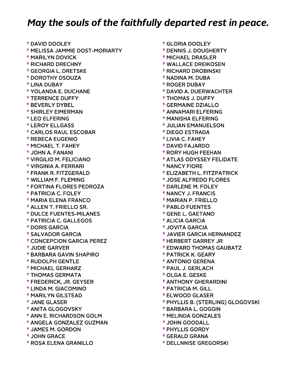† DAVID DOOLEY † MELISSA JAMMIE DOST-MORIARTY † MARILYN DOVICK † RICHARD DRECHNY † GEORGIA L. DRETSKE † DOROTHY DSOUZA † LINA DUBAY † YOLANDA E. DUCHANE † TERRENCE DUFFY † BEVERLY DYBEL † SHIRLEY EIMERMAN † LEO ELFERING † LEROY ELLGASS † CARLOS RAUL ESCOBAR † REBECA EUGENIO † MICHAEL T. FAHEY † JOHN A. FANANI † VIRGILIO M. FELICIANO † VIRGINIA A. FERRARI † FRANK R. FITZGERALD † WILLIAM F. FLEMING † FORTINA FLORES PEDROZA † PATRICIA C. FOLEY † MARIA ELENA FRANCO † ALLEN T. FRIELLO SR. † DULCE FUENTES-MILANES † PATRICIA C. GALLEGOS † DORIS GARCIA † SALVADOR GARCIA † CONCEPCION GARCIA PEREZ † JUDIE GARVER † BARBARA GAVIN SHAPIRO † RUDOLPH GENTLE † MICHAEL GERHARZ † THOMAS GERMATA † FREDERICK, JR. GEYSER † LINDA M. GIACOMINO † MARILYN GILSTEAD † JANE GLASER † ANITA GLOGOVSKY † ANN E. RICHARDSON GOLM † ANGELA GONZALEZ GUZMAN † JAMES M. GORDON † JOHN GRACE † ROSA ELENA GRANILLO

 † GLORIA DOOLEY † DENNIS J. DOUGHERTY † MICHAEL DRASLER † WALLACE DREIKOSEN † RICHARD DROBINSKI † NADINA M. DUBA † ROGER DUBAY † DAVID A. DUERWACHTER † THOMAS J. DUFFY † GERMAINE DZIALLO † ANNAMARI ELFERING † MANISHA ELFERING † JULIAN EMANUELSON † DIEGO ESTRADA † LIVIA C. FAHEY † DAVID FAJARDO † RORY HUGH FEEHAN † ATLAS ODYSSEY FELIDATE † NANCY FIORE † ELIZABETH L. FITZPATRICK † JOSE ALFREDO FLORES † DARLENE M. FOLEY † NANCY J. FRANCIS † MARIAN P. FRIELLO † PABLO FUENTES † GENE L. GAETANO † ALICIA GARCIA † JOVITA GARCIA † JAVIER GARCIA HERNANDEZ † HERBERT GARREY JR † EDWARD THOMAS GAUBATZ † PATRICK K. GEARY † ANTONIO GERENA † PAUL J. GERLACH † OLGA E. GESKE † ANTHONY GHERARDINI † PATRICIA M. GILL † ELWOOD GLASER † PHYLLIS B. (STERLING) GLOGOVSKI † BARBARA L. GOGGIN † MELINDA GONZALES † JOHN GOODALL

- † PHYLLIS GORDY † GERALD GRANA
- † DELLNNISE GREGORSKI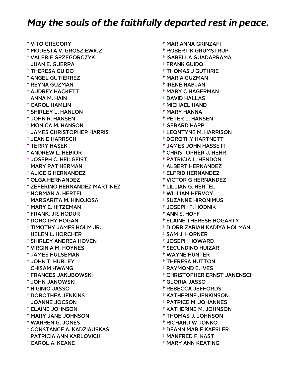† VITO GREGORY † MODESTA V. GROSZIEWICZ † VALERIE GRZEGORCZYK † JUAN E. GUERRA † THERESA GUIDO † ANGEL GUTIERREZ † REYNA GUZMAN † AUDREY HACKETT † ANNA M. HAIN † CAROL HAMLIN † SHIRLEY L. HANLON † JOHN R. HANSEN † MONICA M. HANSON † JAMES CHRISTOPHER HARRIS † JEAN E HARRSCH † TERRY HASEK † ANDREW L. HEBIOR † JOSEPH C. HEILGEIST † MARY PAT HERMAN † ALICE G HERNANDEZ † OLGA HERNANDEZ † ZEFERINO HERNANDEZ MARTINEZ † NORMAN A. HERTEL † MARGARITA M. HINOJOSA † MARY E. HITZEMAN † FRANK, JR. HODUR † DOROTHY HOGAN † TIMOTHY JAMES HOLM JR. † HELEN L. HORCHER † SHIRLEY ANDREA HOVEN † VIRGINIA M. HOYNES † JAMES HULSEMAN † JOHN T. HURLEY † CHISAM HWANG † FRANCES JAKUBOWSKI † JOHN JANOWSKI † HIGINIO JASSO † DOROTHEA JENKINS † JOANNE JOCSON † ELAINE JOHNSON † MARY JANE JOHNSON † WARREN G. JONES † CONSTANCE A. KADZIAUSKAS † PATRICIA ANN KARLOVICH † CAROL A. KEANE

 † ROBERT K GRUMSTRUP † ISABELLA GUADARRAMA † FRANK GUIDO † THOMAS J GUTHRIE † MARIA GUZMAN † IRENE HABJAN † MARY C HAGERMAN † DAVID HALLAS † MICHAEL HAND † MARY HANNA † PETER L. HANSEN † GERARD HAPP † LEONTYNE M. HARRISON † DOROTHY HARTNETT † JAMES JOHN HASSETT † CHRISTOPHER J. HEHR † PATRICIA L. HENDON † ALBERT HERNANDEZ † ELFRID HERNANDEZ † VICTOR G HERNANDEZ † LILLIAN G. HERTEL † WILLIAM HERVOY † SUZANNE HIRONIMUS † JOSEPH F. HODNIK † ANN S. HOFF † ELAINE THERESE HOGARTY † DIORR ZARIAH KADIYA HOLMAN † SAM J. HORNER † JOSEPH HOWARD † SECUNDINO HUIZAR † WAYNE HUNTER † THERESA HUTTON † RAYMOND E. IVES † CHRISTOPHER ERNST JANENSCH † GLORIA JASSO † REBECCA JEFFORDS † KATHERINE JENKINSON † PATRICE M. JOHANNES † KATHERINE M. JOHNSON † THOMAS J. JOHNSON † RICHARD W JONKO † DEANN MARIE KAESLER

† MARIANNA GRINZAFI

- † MANFRED F. KAST
- † MARY ANN KEATING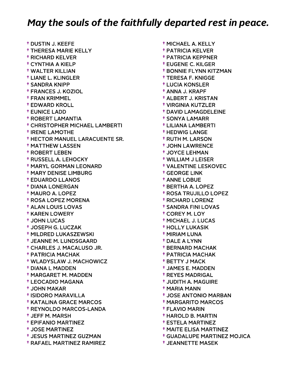† DUSTIN J. KEEFE † THERESA MARIE KELLY † RICHARD KELVER † CYNTHIA A KIELP † WALTER KILLIAN † LIANE L. KLINGLER † SANDRA KNIPP † FRANCES J. KOZIOL † FRAN KRIMMEL † EDWARD KROLL † EUNICE LADD † ROBERT LAMANTIA † CHRISTOPHER MICHAEL LAMBERTI † IRENE LAMOTHE † HECTOR MANUEL LARACUENTE SR. † MATTHEW LASSEN † ROBERT LEBEN † RUSSELL A. LEHOCKY † MARYL GORMAN LEONARD † MARY DENISE LIMBURG † EDUARDO LLANOS † DIANA LONERGAN † MAURO A. LOPEZ † ROSA LOPEZ MORENA † ALAN LOUIS LOVAS † KAREN LOWERY † JOHN LUCAS † JOSEPH G. LUCZAK † MILDRED LUKASZEWSKI † JEANNE M. LUNDSGAARD † CHARLES J. MACALUSO JR. † PATRICIA MACHAK † WLADYSLAW J. MACHOWICZ † DIANA L MADDEN † MARGARET M. MADDEN † LEOCADIO MAGANA † JOHN MAKAR † ISIDORO MARAVILLA † KATALINA GRACE MARCOS † REYNOLDO MARCOS-LANDA † JEFF M. MARSH † EPIFANIO MARTINEZ † JOSE MARTINEZ † JESUS MARTINEZ GUZMAN † RAFAEL MARTINEZ RAMIREZ

 † MICHAEL A. KELLY † PATRICIA KELVER † PATRICIA KEPPNER † EUGENE C. KILGER † BONNIE FLYNN KITZMAN † TERESA F. KNIGGE † LUCIA KONSLER † ANNA J. KRAPF † ALBERT J. KRISTAN † VIRGINIA KUTZLER † DAVID LAMAGDELEINE † SONYA LAMARR † LILIANA LAMBERTI † HEDWIG LANGE † RUTH M. LARSON † JOHN LAWRENCE † JOYCE LEHMAN † WILLIAM J LEISER † VALENTINE LESKOVEC † GEORGE LINK † ANNE LOBUE † BERTHA A. LOPEZ † ROSA TRUJILLO LOPEZ † RICHARD LORENZ † SANDRA FINI LOVAS † COREY M. LOY † MICHAEL J. LUCAS † HOLLY LUKASIK † MIRIAM LUNA † DALE A LYNN † BERNARD MACHAK † PATRICIA MACHAK † BETTY J MACK † JAMES E. MADDEN † REYES MADRIGAL † JUDITH A. MAGUIRE † MARIA MANN † JOSE ANTONIO MARBAN † MARGARITO MARCOS † FLAVIO MARIN † HAROLD B. MARTIN † ESTELA MARTINEZ † MAITE ELISA MARTINEZ † GUADALUPE MARTINEZ MOJICA

† JEANNETTE MASEK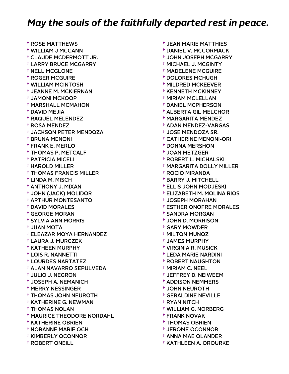† ROSE MATTHEWS † WILLIAM J MCCANN † CLAUDE MCDERMOTT JR. † LARRY BRUCE MCGARRY † NELL MCGLONE † ROGER MCGUIRE † WILLIAM MCINTOSH † JEANNE M. MCKIERNAN † JAMONI MCKOOP † MARSHALL MCMAHON † DAVID MEJIA † RAQUEL MELENDEZ † ROSA MENDEZ † JACKSON PETER MENDOZA † BRUNA MENONI † FRANK E. MERLO † THOMAS P. METCALF † PATRICIA MICELI † HAROLD MILLER † THOMAS FRANCIS MILLER † LINDA M. MISCH † ANTHONY J. MIXAN † JOHN (JACK) MOLIDOR † ARTHUR MONTESANTO † DAVID MORALES † GEORGE MORAN † SYLVIA ANN MORRIS † JUAN MOTA † ELEAZAR MOYA HERNANDEZ † LAURA J. MURCZEK † KATHEEN MURPHY † LOIS R. NANNETTI † LOURDES NARTATEZ † ALAN NAVARRO SEPULVEDA † JULIO J. NEGRON † JOSEPH A. NEMANICH † MERRY NESSINGER † THOMAS JOHN NEUROTH † KATHERINE G. NEWMAN † THOMAS NOLAN † MAURICE THEODORE NORDAHL † KATHERINE OBRIEN † NORANNE MARIE OCH † KIMBERLY OCONNOR † ROBERT ONEILL

 † JEAN MARIE MATTHIES † DANIEL V. MCCORMACK † JOHN JOSEPH MCGARRY † MICHAEL J. MCGINTY † MADELENE MCGUIRE † DOLORES MCHUGH † MILDRED MCKEEVER † KENNETH MCKINNEY † MIRIAM MCLELLAN † DANIEL MCPHERSON † ALBERTA GIL MELCHOR † MARGARITA MENDEZ † ADAN MENDEZ-VARGAS † JOSE MENDOZA SR. † CATHERINE MENONI-ORI † DONNA MERSHON † JOAN METZGER † ROBERT L. MICHALSKI † MARGARITA DOLLY MILLER † ROCIO MIRANDA † BARRY J. MITCHELL † ELLIS JOHN MODJESKI † ELIZABETH M. MOLINA RIOS † JOSEPH MORAHAN † ESTHER ONOFRE MORALES † SANDRA MORGAN † JOHN D. MORRISON † GARY MOWDER † MILTON MUNOZ † JAMES MURPHY † VIRGINIA R. MUSICK † LEDA MARIE NARDINI † ROBERT NAUGHTON † MIRIAM C. NEEL † JEFFREY D. NEIWEEM † ADDISON NEMMERS † JOHN NEUROTH † GERALDINE NEVILLE † RYAN NITCH † WILLIAM G. NORBERG † FRANK NOVAK † THOMAS OBRIEN

- † JEROME OCONNOR † ANNA MAE OLANDER
- † KATHLEEN A. OROURKE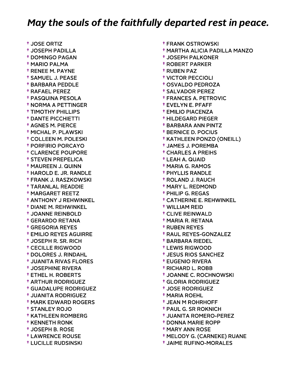† JOSE ORTIZ † JOSEPH PADILLA † DOMINGO PAGAN † MARIO PALMA † RENEE M. PAYNE † SAMUEL J. PEASE † BARBARA PEDDLE † RAFAEL PEREZ † PASQUINA PESOLA † NORMA A PETTINGER † TIMOTHY PHILLIPS † DANTE PICCHIETTI † AGNES M. PIERCE † MICHAL P. PLAWSKI † COLLEEN M. POLESKI † PORFIRIO PORCAYO † CLARENCE POUPORE † STEVEN PREPELICA † MAUREEN J. QUINN † HAROLD E. JR. RANDLE † FRANK J. RASZKOWSKI † TARANLAL READDIE † MARGARET REETZ † ANTHONY J REHWINKEL † DIANE M. REHWINKEL † JOANNE REINBOLD † GERARDO RETANA † GREGORIA REYES † EMILIO REYES AGUIRRE † JOSEPH R. SR. RICH † CECILLE RIGWOOD † DOLORES J. RINDAHL † JUANITA RIVAS FLORES † JOSEPHINE RIVERA † ETHEL H. ROBERTS † ARTHUR RODRIGUEZ † GUADALUPE RODRIGUEZ † JUANITA RODRIGUEZ † MARK EDWARD ROGERS † STANLEY ROJO † KATHLEEN ROMBERG † KENNETH RONK † JOSEPH B. ROSE † LAWRENCE ROUSE † LUCILLE RUDSINSKI

 † FRANK OSTROWSKI † MARTHA ALICIA PADILLA MANZO † JOSEPH PALKONER † ROBERT PARKER † RUBEN PAZ † VICTOR PECCIOLI † OSVALDO PEDROZA † SALVADOR PEREZ † FRANCES A. PETROVIC † EVELYN E. PFAFF † EMILIO PIACENZA † HILDEGARD PIEGER † BARBARA ANN PINTZ † BERNICE D. POCIUS † KATHLEEN PONZO (ONEILL) † JAMES J. POREMBA † CHARLES A PREIHS † LEAH A. QUAID † MARIA G. RAMOS † PHYLLIS RANDLE † ROLAND J. RAUCH † MARY L. REDMOND † PHILIP G. REGAS † CATHERINE E. REHWINKEL † WILLIAM REID † CLIVE REINWALD † MARIA R. RETANA † RUBEN REYES † RAUL REYES-GONZALEZ † BARBARA RIEDEL † LEWIS RIGWOOD † JESUS RIOS SANCHEZ † EUGENIO RIVERA † RICHARD L. ROBB † JOANNE C. ROCHNOWSKI † GLORIA RODRIGUEZ † JOSE RODRIGUEZ † MARIA ROEHL † JEAN M ROHRHOFF † PAUL G. SR ROKNICH † JUANITA ROMERO-PEREZ † DONNA MARIE ROPP † MARY ANN ROSE

- † MELODY G. (CARNEKE) RUANE
- † JAIME RUFINO-MORALES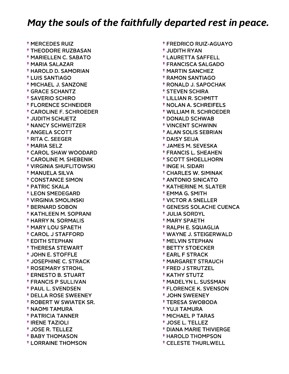† MERCEDES RUIZ † THEODORE RUZBASAN † MARIELLEN C. SABATO † MARIA SALAZAR † HAROLD D. SAMORIAN † LUIS SANTIAGO † MICHAEL J. SANZONE † GRACE SCHANTZ † SAVERIO SCHIRO † FLORENCE SCHNEIDER † CAROLINE F. SCHROEDER † JUDITH SCHUETZ † NANCY SCHWEITZER † ANGELA SCOTT † RITA C. SEEGER † MARIA SELZ † CAROL SHAW WOODARD † CAROLINE M. SHEBENIK † VIRGINIA SHUFLITOWSKI † MANUELA SILVA † CONSTANCE SIMON † PATRIC SKALA † LEON SMEDEGARD † VIRGINIA SMOLINSKI † BERNARD SOBON † KATHLEEN M. SOPRANI † HARRY N. SORMALIS † MARY LOU SPAETH † CAROL J STAFFORD † EDITH STEPHAN † THERESA STEWART † JOHN E. STOFFLE † JOSEPHINE C. STRACK † ROSEMARY STROHL † ERNESTO B. STUART † FRANCIS P SULLIVAN † PAUL L. SVENDSEN † DELLA ROSE SWEENEY † ROBERT W SWIATEK SR. † NAOMI TAMURA † PATRICIA TANNER † IRENE TAZIOLI † JOSE R. TELLEZ † BABY THOMASON † LORRAINE THOMSON

 † FREDRICO RUIZ-AGUAYO † JUDITH RYAN † LAURETTA SAFFELL † FRANCISCA SALGADO † MARTIN SANCHEZ † RAMON SANTIAGO † RONALD J. SAPOCHAK † STEVEN SCHIRA † LILLIAN R. SCHMITT † NOLAN A. SCHREIFELS † WILLIAM R. SCHROEDER † DONALD SCHWAB † VINCENT SCHWINN † ALAN SOLIS SEBRIAN † DAISY SEIJA † JAMES M. SEVESKA † FRANCIS L. SHEAHEN † SCOTT SHOELLHORN † INGE H. SIDARI † CHARLES W. SIMINAK † ANTONIO SINICATO † KATHERINE M. SLATER † EMMA G. SMITH † VICTOR A SNELLER † GENESIS SOLACHE CUENCA † JULIA SORDYL † MARY SPAETH † RALPH E. SQUAGLIA † WAYNE J. STEIGERWALD † MELVIN STEPHAN † BETTY STOECKER † EARL F STRACK † MARGARET STRAUCH † FRED J STRUTZEL † KATHY STUTZ † MADELYN L. SUSSMAN † FLORENCE K. SVENSON † JOHN SWEENEY † TERESA SWOBODA † YUJI TAMURA † MICHAEL P TARAS † JOSE L. TELLEZ † DIANA MARIE THIVIERGE

† HAROLD THOMPSON

† CELESTE THURLWELL